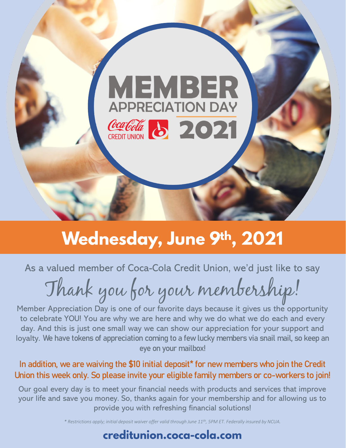

# **Wednesday, June 9th, 2021**

As a valued member of Coca-Cola Credit Union, we'd just like to say

Thank you for your membership!

Member Appreciation Day is one of our favorite days because it gives us the opportunity to celebrate YOU! You are why we are here and why we do what we do each and every day. And this is just one small way we can show our appreciation for your support and loyalty. **We have tokens of appreciation coming to a few lucky members via snail mail, so keep an eye on your mailbox!**

#### **In addition, we are waiving the \$10 initial deposit\* for new members who join the Credit Union this week only. So please invite your eligible family members or co-workers to join!**

Our goal every day is to meet your financial needs with products and services that improve your life and save you money. So, thanks again for your membership and for allowing us to provide you with refreshing financial solutions!

*\* Restrictions apply; initial deposit waiver offer valid through June 11th, 5PM ET. Federally insured by NCUA.*

## creditunion.coca-cola.com